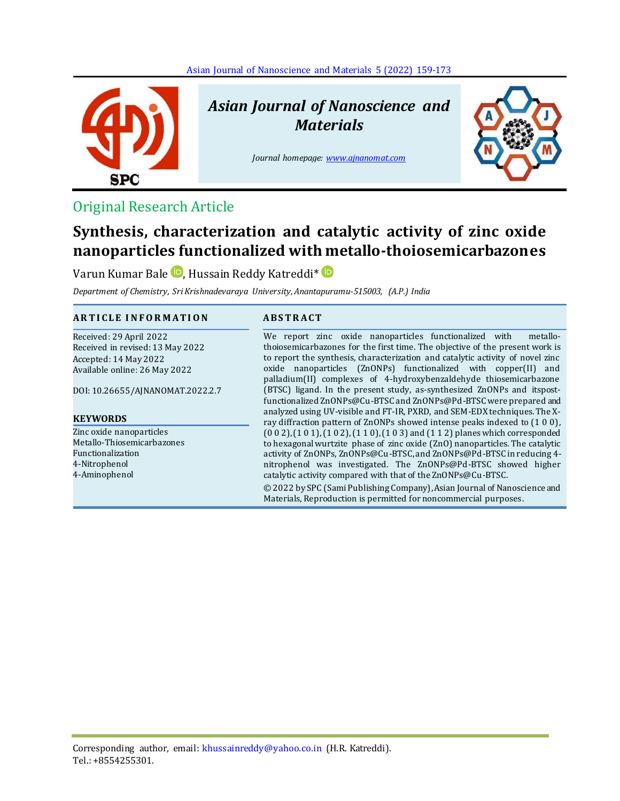[Asian Journal of Nanoscience and Materials](http://www.ajnanomat.com/article_150493.html) 5 (2022) 159-173



# *Asian Journal of Nanoscience and Materials*

*Journal homepage[: www.ajnanomat.com](file:///C:/Users/User/Documents/Bluetooth%20Exchange%20Folder/www.ajnanomat.com)*



# Original Research Article

# **Synthesis, characterization and catalytic activity of zinc oxide nanoparticles functionalized with metallo-thoiosemicarbazones**

Varun Kumar Bale **D**[,](https://orcid.org/0000-0001-8256-9505) Hussain Reddy Katreddi<sup>\*</sup> D

*Department of Chemistry, Sri Krishnadevaraya University, Anantapuramu-515003, (A.P.) India*

# **A R T I C L E I N F O R M A T I O N A B S T R A C T**

Received: 29 April 2022 Received in revised: 13 May 2022 Accepted: 14 May 2022 Available online: 26 May 2022

DOI: 10.26655/AJNANOMAT.2022.2.7

#### **KEYWORDS**

Zinc oxide nanoparticles Metallo-Thiosemicarbazones Functionalization 4-Nitrophenol 4-Aminophenol

We report zinc oxide nanoparticles functionalized with metallothoiosemicarbazones for the first time. The objective of the present work is to report the synthesis, characterization and catalytic activity of novel zinc oxide nanoparticles (ZnONPs) functionalized with copper(II) and palladium(II) complexes of 4-hydroxybenzaldehyde thiosemicarbazone (BTSC) ligand. In the present study, as-synthesized ZnONPs and itspostfunctionalized ZnONPs@Cu-BTSC and ZnONPs@Pd-BTSC were prepared and analyzed using UV-visible and FT-IR, PXRD, and SEM-EDX techniques. The Xray diffraction pattern of ZnONPs showed intense peaks indexed to (1 0 0), (0 0 2), (1 0 1), (1 0 2), (1 1 0), (1 0 3) and (1 1 2) planes which corresponded to hexagonal wurtzite phase of zinc oxide (ZnO) nanoparticles. The catalytic activity of ZnONPs, ZnONPs@Cu-BTSC, and ZnONPs@Pd-BTSC in reducing 4 nitrophenol was investigated. The ZnONPs@Pd-BTSC showed higher catalytic activity compared with that of the ZnONPs@Cu-BTSC. © 2022 by SPC (Sami Publishing Company), Asian Journal of Nanoscience and

Materials, Reproduction is permitted for noncommercial purposes.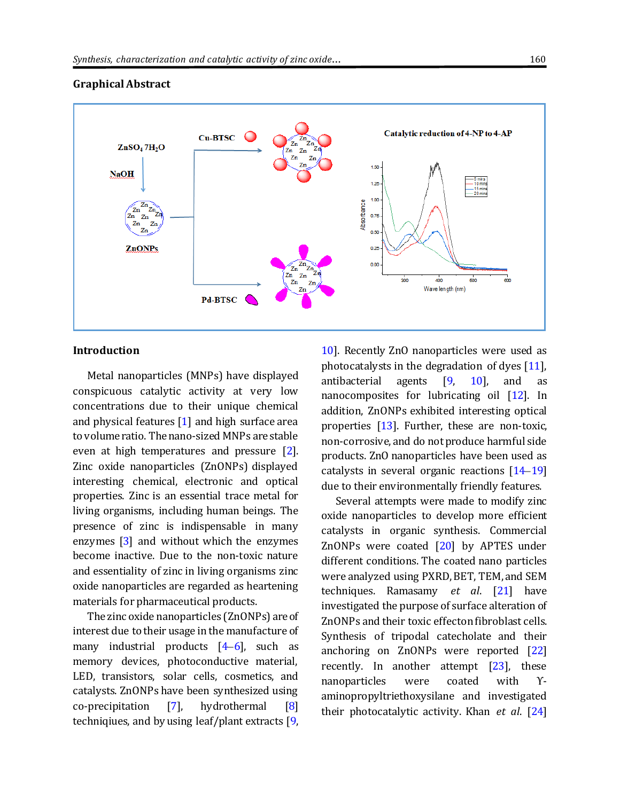$Cn$ -RTS $C$ 

Pd-BTSC

# Catalytic reduction of 4-NP to 4-AP

1.50

1.25 1.00 Absorbance

0.75

0.50

 $0.25$ 

0.00

300

 $\frac{Z_n}{Z_n}$ 

 $z_{n}$  $Z_n$   $Z_n$ 

 $Z_{n}$ Zn

# **Graphical Abstract**

**NaOH** 

 $ZnSO<sub>4</sub>7H<sub>2</sub>O$ 

 $\overline{z}$  $\mathbb{Z}_n$ z  $z_n$ 

**ZnONPs** 

Zn Zn  $\mathbf{Z}$ n

#### **Introduction**

Metal nanoparticles (MNPs) have displayed conspicuous catalytic activity at very low concentrations due to their unique chemical and physical features [\[1\]](#page-12-0) and high surface area to volume ratio. The nano-sized MNPs are stable even at high temperatures and pressure [\[2\]](#page-12-1). Zinc oxide nanoparticles (ZnONPs) displayed interesting chemical, electronic and optical properties. Zinc is an essential trace metal for living organisms, including human beings. The presence of zinc is indispensable in many enzymes [\[3\]](#page-12-2) and without which the enzymes become inactive. Due to the non-toxic nature and essentiality of zinc in living organisms zinc oxide nanoparticles are regarded as heartening materials for pharmaceutical products.

The zinc oxide nanoparticles (ZnONPs) are of interest due to their usage in the manufacture of many industrial products  $[4-6]$  $[4-6]$  $[4-6]$ , such as memory devices, photoconductive material, LED, transistors, solar cells, cosmetics, and catalysts. ZnONPs have been synthesized using co-precipitation [\[7\]](#page-12-5), hydrothermal [\[8\]](#page-12-6) techniqiues, and by using leaf/plant extracts [\[9,](#page-12-7)

[10\]](#page-12-8). Recently ZnO nanoparticles were used as photocatalysts in the degradation of dyes [\[11\]](#page-12-9), antibacterial agents  $[9, 10]$  $[9, 10]$  $[9, 10]$ , and as nanocomposites for lubricating oil [\[12\]](#page-12-10). In addition, ZnONPs exhibited interesting optical properties [\[13\]](#page-13-0). Further, these are non-toxic, non-corrosive, and do not produce harmful side products. ZnO nanoparticles have been used as catalysts in several organic reactions [\[14](#page-13-1)–[19\]](#page-13-2) due to their environmentally friendly features.

400

Wave length (nm)

Several attempts were made to modify zinc oxide nanoparticles to develop more efficient catalysts in organic synthesis. Commercial ZnONPs were coated  $[20]$  by APTES under different conditions. The coated nano particles were analyzed using PXRD, BET, TEM, and SEM techniques. Ramasamy *et al*. [\[21\]](#page-13-4) have investigated the purpose of surface alteration of ZnONPs and their toxic effecton fibroblast cells. Synthesis of tripodal catecholate and their anchoring on ZnONPs were reported [\[22\]](#page-13-5) recently. In another attempt [\[23\]](#page-13-6), these nanoparticles were coated with ϒaminopropyltriethoxysilane and investigated their photocatalytic activity. Khan *et al*. [\[24\]](#page-13-7)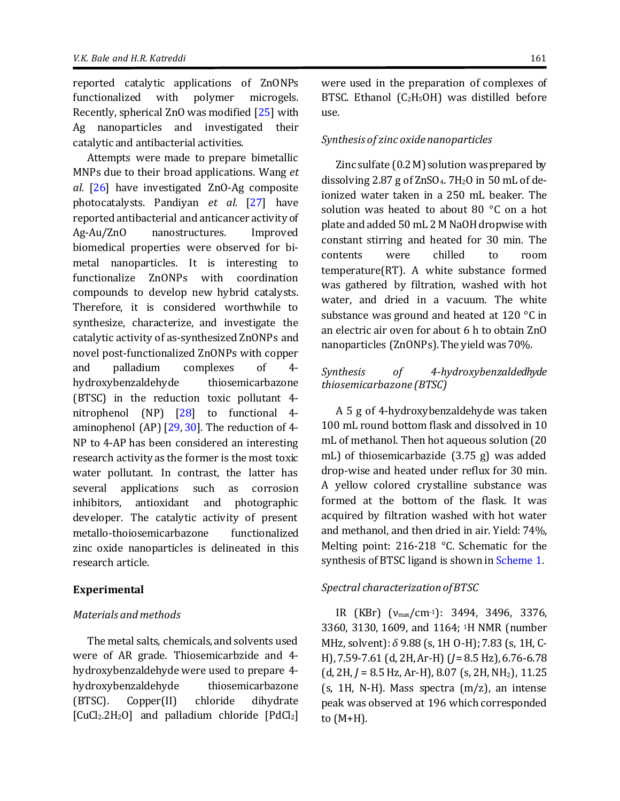reported catalytic applications of ZnONPs functionalized with polymer microgels. Recently, spherical ZnO was modified [\[25\]](#page-13-8) with Ag nanoparticles and investigated their catalytic and antibacterial activities.

Attempts were made to prepare bimetallic MNPs due to their broad applications. Wang *et al.* [\[26\]](#page-13-9) have investigated ZnO-Ag composite photocatalysts. Pandiyan *et al.* [\[27\]](#page-13-10) have reported antibacterial and anticancer activity of Ag-Au/ZnO nanostructures. Improved biomedical properties were observed for bimetal nanoparticles. It is interesting to functionalize ZnONPs with coordination compounds to develop new hybrid catalysts. Therefore, it is considered worthwhile to synthesize, characterize, and investigate the catalytic activity of as-synthesized ZnONPs and novel post-functionalized ZnONPs with copper and palladium complexes of 4 hydroxybenzaldehyde thiosemicarbazone (BTSC) in the reduction toxic pollutant 4 nitrophenol (NP) [\[28\]](#page-13-11) to functional 4 aminophenol (AP) [\[29,](#page-13-12) [30\]](#page-13-13). The reduction of 4- NP to 4-AP has been considered an interesting research activity as the former is the most toxic water pollutant. In contrast, the latter has several applications such as corrosion inhibitors, antioxidant and photographic developer. The catalytic activity of present metallo-thoiosemicarbazone functionalized zinc oxide nanoparticles is delineated in this research article.

#### **Experimental**

#### *Materials and methods*

The metal salts, chemicals, and solvents used were of AR grade. Thiosemicarbzide and 4 hydroxybenzaldehyde were used to prepare 4 hydroxybenzaldehyde thiosemicarbazone (BTSC). Copper(II) chloride dihydrate  $[CuCl<sub>2</sub>.2H<sub>2</sub>O]$  and palladium chloride  $[PdCl<sub>2</sub>]$  were used in the preparation of complexes of BTSC. Ethanol  $(C_2H_5OH)$  was distilled before use.

### *Synthesis of zinc oxide nanoparticles*

Zinc sulfate (0.2 M) solution was prepared by dissolving 2.87 g of  $ZnSO_4$ . 7H<sub>2</sub>O in 50 mL of deionized water taken in a 250 mL beaker. The solution was heated to about 80 °C on a hot plate and added 50 mL 2M NaOH dropwise with constant stirring and heated for 30 min. The contents were chilled to room temperature(RT). A white substance formed was gathered by filtration, washed with hot water, and dried in a vacuum. The white substance was ground and heated at 120 °C in an electric air oven for about 6 h to obtain ZnO nanoparticles (ZnONPs). The yield was 70%.

# *Synthesis of 4-hydroxybenzaldedhyde thiosemicarbazone (BTSC)*

A 5 g of 4-hydroxybenzaldehyde was taken 100 mL round bottom flask and dissolved in 10 mL of methanol. Then hot aqueous solution (20 mL) of thiosemicarbazide (3.75 g) was added drop-wise and heated under reflux for 30 min. A yellow colored crystalline substance was formed at the bottom of the flask. It was acquired by filtration washed with hot water and methanol, and then dried in air. Yield: 74%, Melting point: 216-218 °C. Schematic for the synthesis of BTSC ligand is shown i[n Scheme 1.](#page-3-0)

#### *Spectral characterization of BTSC*

IR (KBr) (νmax/cm-1): 3494, 3496, 3376, 3360, 3130, 1609, and 1164; 1H NMR (number MHz, solvent): *δ* 9.88 (s, 1H O-H); 7.83 (s, 1H, C-H), 7.59-7.61 (d, 2H, Ar-H) (*J*= 8.5 Hz), 6.76-6.78 (d, 2H, *J* = 8.5 Hz, Ar-H), 8.07 (s, 2H, NH2), 11.25  $(s, 1H, N-H)$ . Mass spectra  $(m/z)$ , an intense peak was observed at 196 which corresponded to (M+H).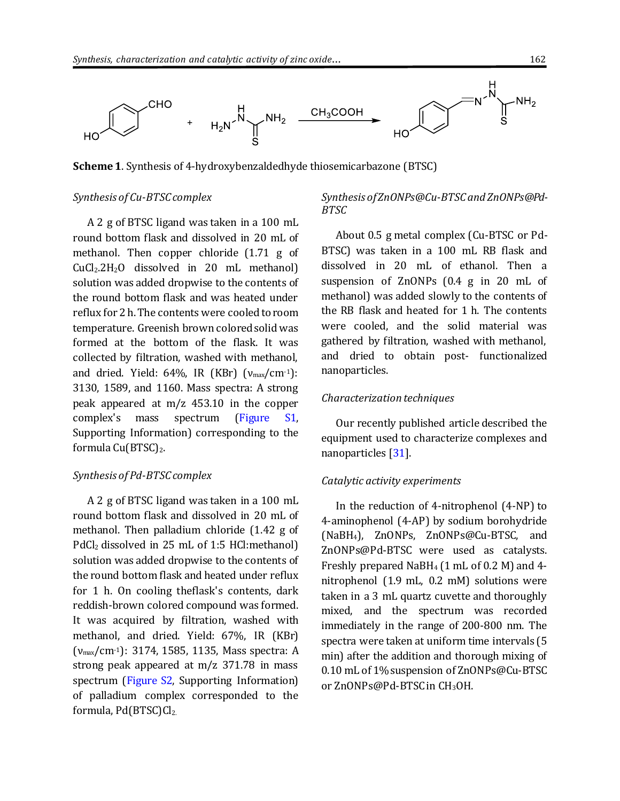

<span id="page-3-0"></span>**Scheme 1**. Synthesis of 4-hydroxybenzaldedhyde thiosemicarbazone (BTSC)

#### *Synthesis of Cu-BTSC complex*

A 2 g of BTSC ligand was taken in a 100 mL round bottom flask and dissolved in 20 mL of methanol. Then copper chloride (1.71 g of CuCl2.2H2O dissolved in 20 mL methanol) solution was added dropwise to the contents of the round bottom flask and was heated under reflux for 2 h. The contents were cooled to room temperature. Greenish brown colored solid was formed at the bottom of the flask. It was collected by filtration, washed with methanol, and dried. Yield:  $64\%$ , IR (KBr) ( $v_{\text{max}}/cm^{-1}$ ): 3130, 1589, and 1160. Mass spectra: A strong peak appeared at m/z 453.10 in the copper complex's mass spectrum [\(Figure S1,](http://www.ajnanomat.com/jufile?ar_sfile=1704753) Supporting Information) corresponding to the formula Cu(BTSC)2.

# *Synthesis of Pd-BTSC complex*

A 2 g of BTSC ligand was taken in a 100 mL round bottom flask and dissolved in 20 mL of methanol. Then palladium chloride (1.42 g of PdCl<sub>2</sub> dissolved in 25 mL of 1:5 HCl:methanol) solution was added dropwise to the contents of the round bottom flask and heated under reflux for 1 h. On cooling theflask's contents, dark reddish-brown colored compound was formed. It was acquired by filtration, washed with methanol, and dried. Yield: 67%, IR (KBr) (νmax/cm-1): 3174, 1585, 1135, Mass spectra: A strong peak appeared at m/z 371.78 in mass spectrum [\(Figure S2,](http://www.ajnanomat.com/jufile?ar_sfile=1704753) Supporting Information) of palladium complex corresponded to the formula, Pd(BTSC)Cl2.

# *Synthesis of ZnONPs@Cu-BTSC and ZnONPs@Pd-BTSC*

About 0.5 g metal complex (Cu-BTSC or Pd-BTSC) was taken in a 100 mL RB flask and dissolved in 20 mL of ethanol. Then a suspension of ZnONPs (0.4 g in 20 mL of methanol) was added slowly to the contents of the RB flask and heated for 1 h. The contents were cooled, and the solid material was gathered by filtration, washed with methanol, and dried to obtain post- functionalized nanoparticles.

### *Characterization techniques*

Our recently published article described the equipment used to characterize complexes and nanoparticles [\[31\]](#page-13-14).

#### *Catalytic activity experiments*

In the reduction of 4-nitrophenol (4-NP) to 4-aminophenol (4-AP) by sodium borohydride (NaBH4), ZnONPs, ZnONPs@Cu-BTSC, and ZnONPs@Pd-BTSC were used as catalysts. Freshly prepared NaBH4 (1 mL of 0.2 M) and 4 nitrophenol (1.9 mL, 0.2 mM) solutions were taken in a 3 mL quartz cuvette and thoroughly mixed, and the spectrum was recorded immediately in the range of 200-800 nm. The spectra were taken at uniform time intervals (5 min) after the addition and thorough mixing of 0.10 mL of 1% suspension of ZnONPs@Cu-BTSC or ZnONPs@Pd-BTSC in CH3OH.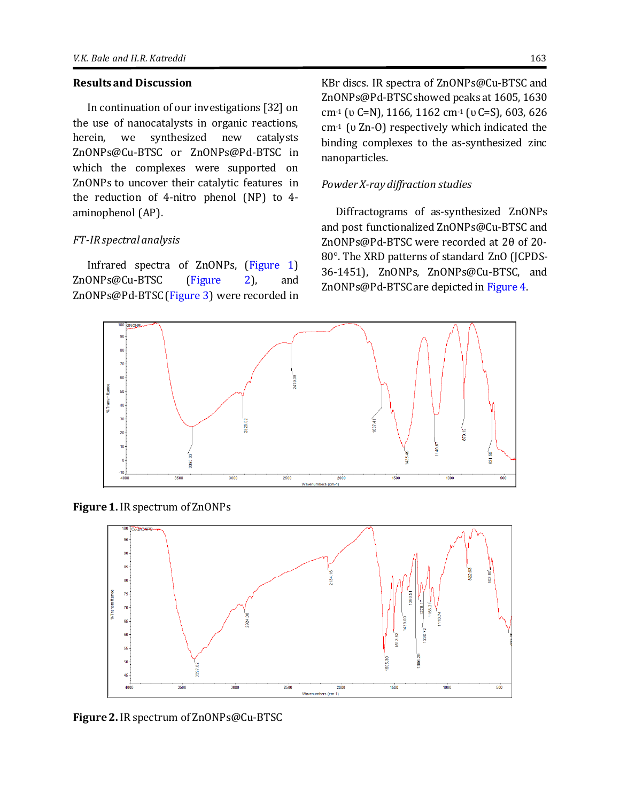#### **Results and Discussion**

In continuation of our investigations [32] on the use of nanocatalysts in organic reactions, herein, we synthesized new catalysts ZnONPs@Cu-BTSC or ZnONPs@Pd-BTSC in which the complexes were supported on ZnONPs to uncover their catalytic features in the reduction of 4-nitro phenol (NP) to 4 aminophenol (AP).

# *FT-IR spectral analysis*

Infrared spectra of ZnONPs, [\(Figure 1\)](#page-4-0) ZnONPs@Cu-BTSC [\(Figure 2\)](#page-4-1), and ZnONPs@Pd-BTSC [\(Figure 3\)](#page-5-0) were recorded in KBr discs. IR spectra of ZnONPs@Cu-BTSC and ZnONPs@Pd-BTSC showed peaks at 1605, 1630 cm-1 (ʋ C=N), 1166, 1162 cm-1 (ʋ C=S), 603, 626 cm-1 (ʋ Zn-O) respectively which indicated the binding complexes to the as-synthesized zinc nanoparticles.

# *Powder X-ray diffraction studies*

Diffractograms of as-synthesized ZnONPs and post functionalized ZnONPs@Cu-BTSC and ZnONPs@Pd-BTSC were recorded at 2θ of 20- 80°. The XRD patterns of standard ZnO (JCPDS-36-1451), ZnONPs, ZnONPs@Cu-BTSC, and ZnONPs@Pd-BTSC are depicted i[n Figure 4.](#page-5-1)



<span id="page-4-0"></span>**Figure 1.** IR spectrum of ZnONPs



<span id="page-4-1"></span>**Figure 2.** IR spectrum of ZnONPs@Cu-BTSC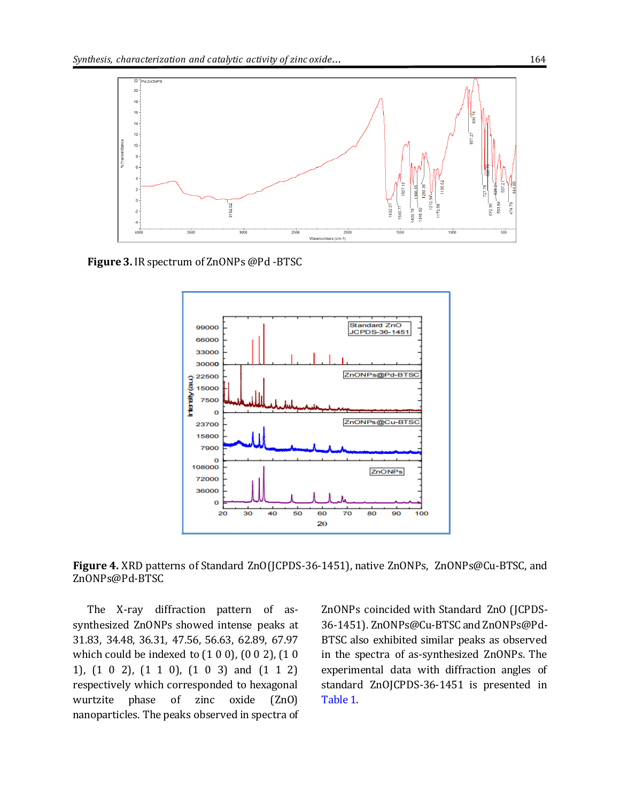

<span id="page-5-0"></span>**Figure 3.** IR spectrum of ZnONPs @Pd -BTSC



<span id="page-5-1"></span>**Figure 4.** XRD patterns of Standard ZnO(JCPDS-36-1451), native ZnONPs, ZnONPs@Cu-BTSC, and ZnONPs@Pd-BTSC

The X-ray diffraction pattern of assynthesized ZnONPs showed intense peaks at 31.83, 34.48, 36.31, 47.56, 56.63, 62.89, 67.97 which could be indexed to (1 0 0), (0 0 2), (1 0 1), (1 0 2), (1 1 0), (1 0 3) and (1 1 2) respectively which corresponded to hexagonal wurtzite phase of zinc oxide (ZnO) nanoparticles. The peaks observed in spectra of

ZnONPs coincided with Standard ZnO (JCPDS-36-1451). ZnONPs@Cu-BTSC and ZnONPs@Pd-BTSC also exhibited similar peaks as observed in the spectra of as-synthesized ZnONPs. The experimental data with diffraction angles of standard ZnOJCPDS-36-1451 is presented in [Table 1.](#page-6-0)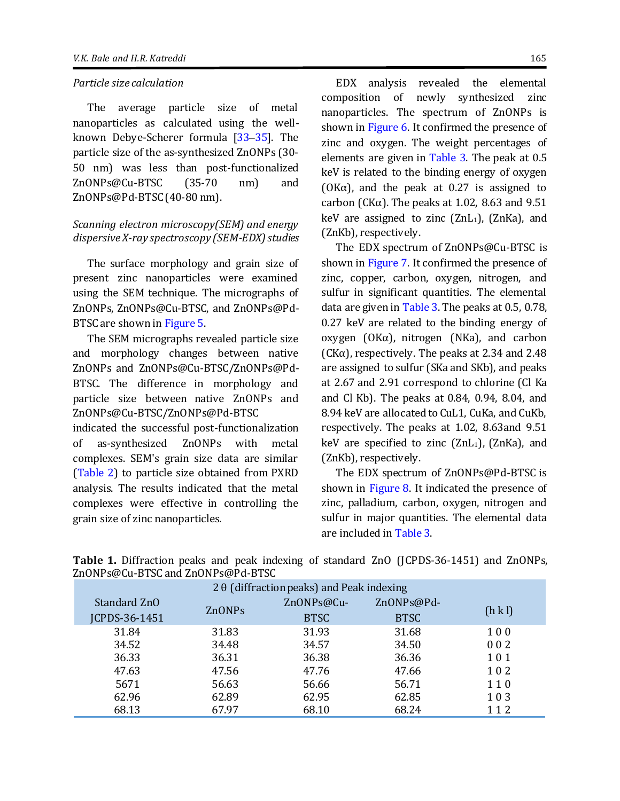#### *Particle size calculation*

The average particle size of metal nanoparticles as calculated using the well-known Debye-Scherer formula [\[33](#page-13-15)–[35\]](#page-13-16). The particle size of the as-synthesized ZnONPs (30- 50 nm) was less than post-functionalized ZnONPs@Cu-BTSC (35-70 nm) and ZnONPs@Pd-BTSC (40-80 nm).

# *Scanning electron microscopy(SEM) and energy dispersive X-ray spectroscopy (SEM-EDX) studies*

The surface morphology and grain size of present zinc nanoparticles were examined using the SEM technique. The micrographs of ZnONPs, ZnONPs@Cu-BTSC, and ZnONPs@Pd-BTSC are shown i[n Figure 5.](#page-7-0)

The SEM micrographs revealed particle size and morphology changes between native ZnONPs and ZnONPs@Cu-BTSC/ZnONPs@Pd-BTSC. The difference in morphology and particle size between native ZnONPs and ZnONPs@Cu-BTSC/ZnONPs@Pd-BTSC

indicated the successful post-functionalization of as-synthesized ZnONPs with metal complexes. SEM's grain size data are similar [\(Table 2\)](#page-7-1) to particle size obtained from PXRD analysis. The results indicated that the metal complexes were effective in controlling the grain size of zinc nanoparticles.

<span id="page-6-0"></span>EDX analysis revealed the elemental composition of newly synthesized zinc nanoparticles. The spectrum of ZnONPs is shown in [Figure 6.](#page-8-0) It confirmed the presence of zinc and oxygen. The weight percentages of elements are given in [Table 3.](#page-8-1) The peak at 0.5 keV is related to the binding energy of oxygen ( $OK\alpha$ ), and the peak at 0.27 is assigned to carbon (CK $\alpha$ ). The peaks at 1.02, 8.63 and 9.51 keV are assigned to zinc  $(ZnL_1)$ ,  $(ZnKa)$ , and (ZnKb), respectively.

The EDX spectrum of ZnONPs@Cu-BTSC is shown in [Figure 7.](#page-8-2) It confirmed the presence of zinc, copper, carbon, oxygen, nitrogen, and sulfur in significant quantities. The elemental data are given i[n Table 3.](#page-8-1) The peaks at 0.5, 0.78, 0.27 keV are related to the binding energy of oxygen (OKα), nitrogen (NKa), and carbon  $(CK\alpha)$ , respectively. The peaks at 2.34 and 2.48 are assigned to sulfur (SKa and SKb), and peaks at 2.67 and 2.91 correspond to chlorine (Cl Ka and Cl Kb). The peaks at 0.84, 0.94, 8.04, and 8.94 keV are allocated to CuL1, CuKa, and CuKb, respectively. The peaks at 1.02, 8.63and 9.51 keV are specified to zinc  $(ZnL_1)$ ,  $(ZnKa)$ , and (ZnKb), respectively.

The EDX spectrum of ZnONPs@Pd-BTSC is shown in [Figure 8.](#page-9-0) It indicated the presence of zinc, palladium, carbon, oxygen, nitrogen and sulfur in major quantities. The elemental data are included in [Table 3.](#page-8-1)

| 2 $\theta$ (diffraction peaks) and Peak indexing |               |             |             |       |  |  |  |  |
|--------------------------------------------------|---------------|-------------|-------------|-------|--|--|--|--|
| Standard ZnO                                     |               | ZnONPs@Cu-  | ZnONPs@Pd-  | (h k) |  |  |  |  |
| JCPDS-36-1451                                    | <b>ZnONPs</b> | <b>BTSC</b> | <b>BTSC</b> |       |  |  |  |  |
| 31.84                                            | 31.83         | 31.93       | 31.68       | 100   |  |  |  |  |
| 34.52                                            | 34.48         | 34.57       | 34.50       | 002   |  |  |  |  |
| 36.33                                            | 36.31         | 36.38       | 36.36       | 101   |  |  |  |  |
| 47.63                                            | 47.56         | 47.76       | 47.66       | 102   |  |  |  |  |
| 5671                                             | 56.63         | 56.66       | 56.71       | 110   |  |  |  |  |
| 62.96                                            | 62.89         | 62.95       | 62.85       | 103   |  |  |  |  |
| 68.13                                            | 67.97         | 68.10       | 68.24       | 112   |  |  |  |  |

**Table 1.** Diffraction peaks and peak indexing of standard ZnO (JCPDS-36-1451) and ZnONPs, ZnONPs@Cu-BTSC and ZnONPs@Pd-BTSC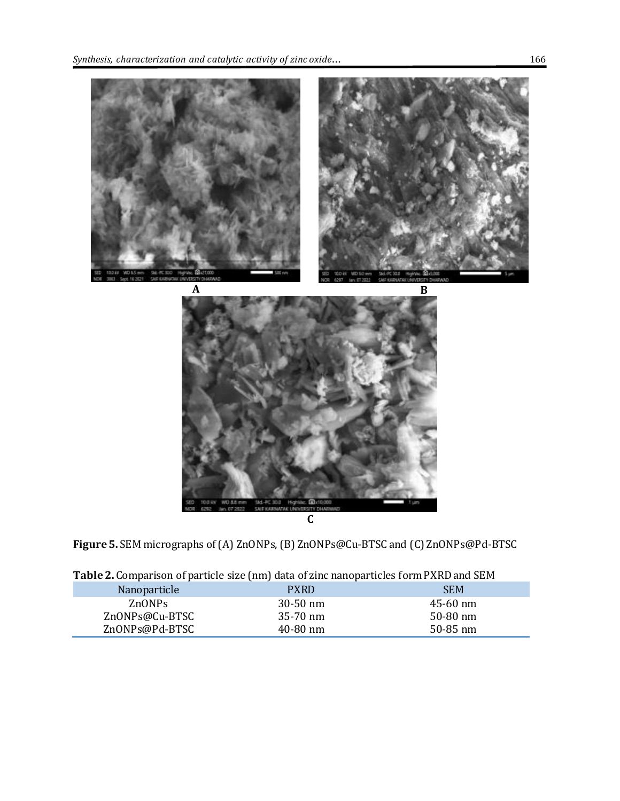

**C**

<span id="page-7-0"></span>**Figure 5.** SEM micrographs of (A) ZnONPs, (B) ZnONPs@Cu-BTSC and (C) ZnONPs@Pd-BTSC

| <b>I apre 2.</b> Comparison of particle size (mil) data of zinc hanoparticles form I AND and JEM |              |              |  |  |  |  |  |
|--------------------------------------------------------------------------------------------------|--------------|--------------|--|--|--|--|--|
| Nanoparticle                                                                                     | <b>PXRD</b>  | <b>SEM</b>   |  |  |  |  |  |
| ZnONPs                                                                                           | $30-50$ nm   | $45 - 60$ nm |  |  |  |  |  |
| ZnONPs@Cu-BTSC                                                                                   | $35-70$ nm   | 50-80 nm     |  |  |  |  |  |
| ZnONPs@Pd-BTSC                                                                                   | $40 - 80$ nm | $50 - 85$ nm |  |  |  |  |  |

<span id="page-7-1"></span>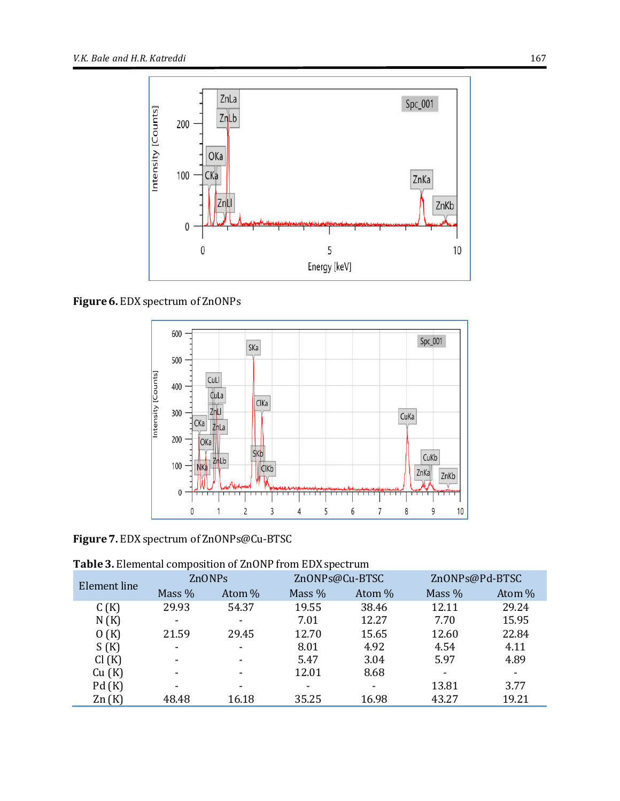

<span id="page-8-0"></span>**Figure 6.** EDX spectrum of ZnONPs



<span id="page-8-2"></span>**Figure 7.** EDX spectrum of ZnONPs@Cu-BTSC

<span id="page-8-1"></span>**Table 3.** Elemental composition of ZnONP from EDX spectrum

| Element line | ZnONPs                   |                          | ZnONPs@Cu-BTSC           |        | ZnONPs@Pd-BTSC |        |
|--------------|--------------------------|--------------------------|--------------------------|--------|----------------|--------|
|              | Mass $%$                 | Atom %                   | Mass %                   | Atom % | Mass $%$       | Atom % |
| C(K)         | 29.93                    | 54.37                    | 19.55                    | 38.46  | 12.11          | 29.24  |
| N(K)         | $\overline{\phantom{0}}$ | $\overline{\phantom{a}}$ | 7.01                     | 12.27  | 7.70           | 15.95  |
| O(K)         | 21.59                    | 29.45                    | 12.70                    | 15.65  | 12.60          | 22.84  |
| S(K)         | $\blacksquare$           | $\blacksquare$           | 8.01                     | 4.92   | 4.54           | 4.11   |
| Cl(K)        | ۰                        | $\blacksquare$           | 5.47                     | 3.04   | 5.97           | 4.89   |
| Cu(K)        |                          | $\overline{\phantom{0}}$ | 12.01                    | 8.68   |                |        |
| Pd(K)        |                          | ۰                        | $\overline{\phantom{0}}$ |        | 13.81          | 3.77   |
| Zn(K)        | 48.48                    | 16.18                    | 35.25                    | 16.98  | 43.27          | 19.21  |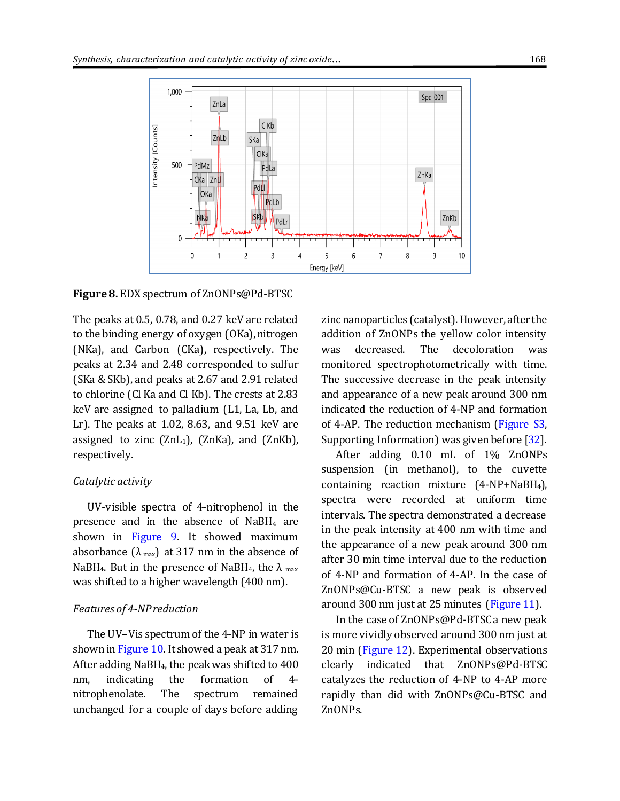

<span id="page-9-0"></span>**Figure 8.** EDX spectrum of ZnONPs@Pd-BTSC

The peaks at 0.5, 0.78, and 0.27 keV are related to the binding energy of oxygen (OKa), nitrogen (NKa), and Carbon (CKa), respectively. The peaks at 2.34 and 2.48 corresponded to sulfur (SKa & SKb), and peaks at 2.67 and 2.91 related to chlorine (Cl Ka and Cl Kb). The crests at 2.83 keV are assigned to palladium (L1, La, Lb, and Lr). The peaks at 1.02, 8.63, and 9.51 keV are assigned to zinc  $(ZnL_1)$ ,  $(ZnKa)$ , and  $(ZnKb)$ , respectively.

#### *Catalytic activity*

UV-visible spectra of 4-nitrophenol in the presence and in the absence of NaBH<sup>4</sup> are shown in [Figure 9.](#page-10-0) It showed maximum absorbance  $(\lambda_{max})$  at 317 nm in the absence of NaBH<sub>4</sub>. But in the presence of NaBH<sub>4</sub>, the  $\lambda$  max was shifted to a higher wavelength (400 nm).

#### *Features of 4-NP reduction*

The UV–Vis spectrum of the 4-NP in water is shown i[n Figure 10.](#page-10-1) It showed a peak at 317 nm. After adding NaBH4, the peak was shifted to 400 nm, indicating the formation of 4 nitrophenolate. The spectrum remained unchanged for a couple of days before adding

zinc nanoparticles (catalyst). However, after the addition of ZnONPs the yellow color intensity was decreased. The decoloration was monitored spectrophotometrically with time. The successive decrease in the peak intensity and appearance of a new peak around 300 nm indicated the reduction of 4-NP and formation of 4-AP. The reduction mechanism [\(Figure S3,](http://www.ajnanomat.com/jufile?ar_sfile=1704753) Supporting Information) was given before [\[32\]](#page-13-17).

After adding 0.10 mL of 1% ZnONPs suspension (in methanol), to the cuvette containing reaction mixture (4-NP+NaBH4), spectra were recorded at uniform time intervals. The spectra demonstrated a decrease in the peak intensity at 400 nm with time and the appearance of a new peak around 300 nm after 30 min time interval due to the reduction of 4-NP and formation of 4-AP. In the case of ZnONPs@Cu-BTSC a new peak is observed around 300 nm just at 25 minutes [\(Figure 11\)](#page-11-0).

In the case of ZnONPs@Pd-BTSC a new peak is more vividly observed around 300 nm just at 20 min [\(Figure 12\)](#page-11-1). Experimental observations clearly indicated that ZnONPs@Pd-BTSC catalyzes the reduction of 4-NP to 4-AP more rapidly than did with ZnONPs@Cu-BTSC and ZnONPs.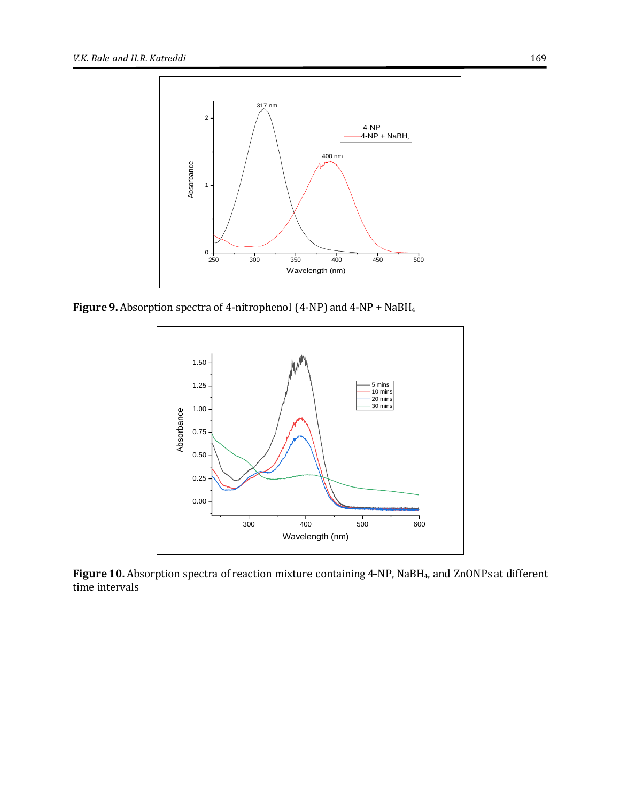

<span id="page-10-0"></span>**Figure 9.** Absorption spectra of 4-nitrophenol (4-NP) and 4-NP + NaBH<sup>4</sup>



<span id="page-10-1"></span>**Figure 10.** Absorption spectra of reaction mixture containing 4-NP, NaBH4, and ZnONPsat different time intervals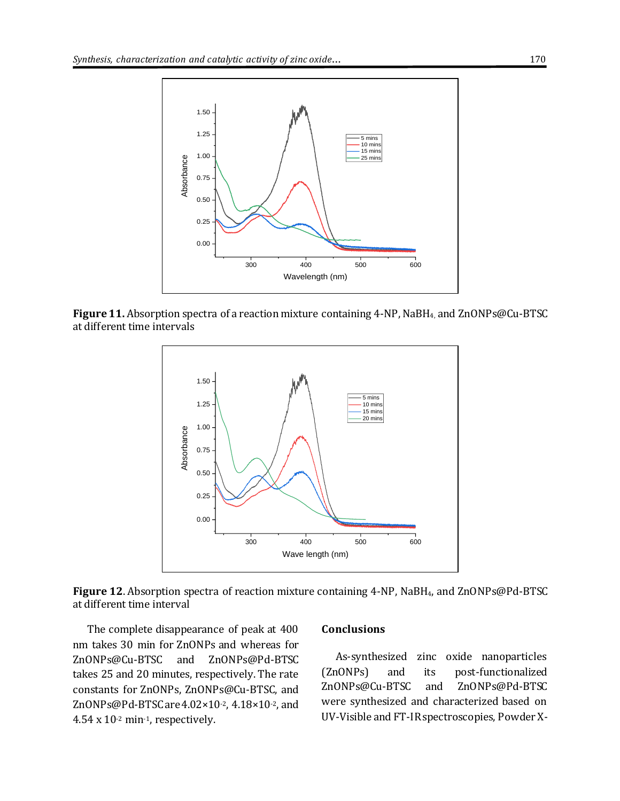

<span id="page-11-0"></span>**Figure 11.** Absorption spectra of a reaction mixture containing 4-NP, NaBH4, and ZnONPs@Cu-BTSC at different time intervals



<span id="page-11-1"></span>**Figure 12**. Absorption spectra of reaction mixture containing 4-NP, NaBH4, and ZnONPs@Pd-BTSC at different time interval

The complete disappearance of peak at 400 nm takes 30 min for ZnONPs and whereas for ZnONPs@Cu-BTSC and ZnONPs@Pd-BTSC takes 25 and 20 minutes, respectively. The rate constants for ZnONPs, ZnONPs@Cu-BTSC, and ZnONPs@Pd-BTSC are 4.02×10-2, 4.18×10-2, and 4.54 x 10-2 min-1, respectively.

#### **Conclusions**

As-synthesized zinc oxide nanoparticles (ZnONPs) and its post-functionalized ZnONPs@Cu-BTSC and ZnONPs@Pd-BTSC were synthesized and characterized based on UV-Visible and FT-IR spectroscopies, Powder X-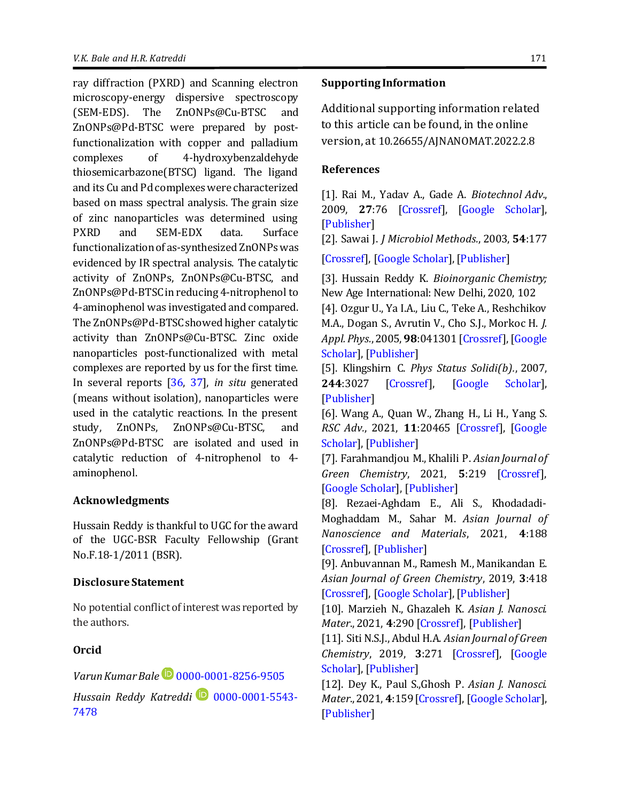ray diffraction (PXRD) and Scanning electron microscopy-energy dispersive spectroscopy (SEM-EDS). The ZnONPs@Cu-BTSC and ZnONPs@Pd-BTSC were prepared by postfunctionalization with copper and palladium complexes of 4-hydroxybenzaldehyde thiosemicarbazone(BTSC) ligand. The ligand and its Cu and Pd complexes were characterized based on mass spectral analysis. The grain size of zinc nanoparticles was determined using PXRD and SEM-EDX data. Surface functionalization of as-synthesized ZnONPs was evidenced by IR spectral analysis. The catalytic activity of ZnONPs, ZnONPs@Cu-BTSC, and ZnONPs@Pd-BTSCin reducing 4-nitrophenol to 4-aminophenol was investigated and compared. The ZnONPs@Pd-BTSC showed higher catalytic activity than ZnONPs@Cu-BTSC. Zinc oxide nanoparticles post-functionalized with metal complexes are reported by us for the first time. In several reports [\[36,](#page-13-18) [37\]](#page-13-19), *in situ* generated (means without isolation), nanoparticles were used in the catalytic reactions. In the present study, ZnONPs, ZnONPs@Cu-BTSC, and ZnONPs@Pd-BTSC are isolated and used in catalytic reduction of 4-nitrophenol to 4 aminophenol.

# **Acknowledgments**

Hussain Reddy is thankful to UGC for the award of the UGC-BSR Faculty Fellowship (Grant No.F.18-1/2011 (BSR).

#### **Disclosure Statement**

No potential conflict of interest was reported by the authors.

# **Orcid**

*Varun Kumar Bale* [0000-0001-8256-9505](https://orcid.org/0000-0001-8256-9505) *Hussain Reddy Katreddi* **D** [0000-0001-5543-](https://orcid.org/0000-0001-5543-7478) [7478](https://orcid.org/0000-0001-5543-7478)

#### **Supporting Information**

Additional supporting information related to this article can be found, in the online version, at 10.26655/AJNANOMAT.2022.2.8

#### **References**

<span id="page-12-0"></span>[1]. Rai M., Yadav A., Gade A. *Biotechnol Adv.*, 2009, **27**:76 [\[Crossref\]](https://doi.org/10.1016/j.biotechadv.2008.09.002), [\[Google Scholar\]](https://scholar.google.com/scholar?hl=en&as_sdt=0%2C5&q=Silver+nanoparticles+as+a+new+generation+of+antimicrobials&btnG=), [\[Publisher\]](https://www.sciencedirect.com/science/article/abs/pii/S0734975008000918?via%3Dihub)

<span id="page-12-1"></span>[2]. Sawai J. *J Microbiol Methods.*, 2003, **54**:177

[\[Crossref\]](https://doi.org/10.1016/S0167-7012(03)00037-X), [\[Google Scholar\]](https://scholar.google.com/scholar?hl=en&as_sdt=0%2C5&q=Quantitative+evaluation+of+antibacterial+activities+of+metallic+oxide+powders+%28ZnO%2C+MgO+and+CaO%29+by+conductimetric+assay&btnG=), [\[Publisher\]](https://www.sciencedirect.com/science/article/abs/pii/S016770120300037X?via%3Dihub)

<span id="page-12-2"></span>[3]. Hussain Reddy K. *Bioinorganic Chemistry;* New Age International: New Delhi, 2020, 102

<span id="page-12-3"></span>[4]. Ozgur U., Ya I.A., Liu C., Teke A., Reshchikov M.A., Dogan S., Avrutin V., Cho S.J., Morkoc H. *J. Appl. Phys.*,2005, **98**:041301 [\[Crossref\]](https://doi.org/10.1063/1.1992666), [\[Google](https://scholar.google.com/scholar?hl=en&as_sdt=0%2C5&q=++++++A+comprehensive+review+of+ZnO+materials+and+devices+&btnG=)  [Scholar\]](https://scholar.google.com/scholar?hl=en&as_sdt=0%2C5&q=++++++A+comprehensive+review+of+ZnO+materials+and+devices+&btnG=), [\[Publisher\]](https://aip.scitation.org/doi/10.1063/1.1992666)

[5]. Klingshirn C. *Phys Status Solidi(b).*, 2007, **244**:3027 [\[Crossref\]](https://doi.org/10.1002/pssb.200743072), [\[Google Scholar\]](https://scholar.google.com/scholar?hl=en&as_sdt=0%2C5&q=ZnO%3A+From+basics+towards+applications&btnG=), [\[Publisher\]](https://onlinelibrary.wiley.com/doi/10.1002/pssb.200743072)

<span id="page-12-4"></span>[6]. Wang A., Quan W., Zhang H., Li H., Yang S. *RSC Adv.*, 2021, **11**:20465 [\[Crossref\]](https://doi.org/10.1039/D1RA03158A), [\[Google](https://scholar.google.com/scholar?hl=en&as_sdt=0%2C5&q=+Heterogeneous+ZnO-containing+catalysts+for+efficient+biodiesel+production+&btnG=)  [Scholar\]](https://scholar.google.com/scholar?hl=en&as_sdt=0%2C5&q=+Heterogeneous+ZnO-containing+catalysts+for+efficient+biodiesel+production+&btnG=), [\[Publisher\]](https://pubs.rsc.org/en/content/articlelanding/2021/RA/D1RA03158A)

<span id="page-12-5"></span>[7]. Farahmandjou M., Khalili P. *Asian Journal of Green Chemistry*, 2021, **5**:219 [\[Crossref\]](http://dx.doi.org/10.22034/ajgc.2021.261206.1287), [\[Google Scholar\]](https://scholar.google.com/scholar?hl=en&as_sdt=0%2C5&q=+ZnO+nanoparticles+synthesized+by+co-precipitation+method%3B+Morphology+and+optoelectronic+study&btnG=), [\[Publisher\]](http://www.ajgreenchem.com/article_129506.html)

<span id="page-12-6"></span>[8]. Rezaei-Aghdam E., Ali S., Khodadadi-Moghaddam M., Sahar M. *Asian Journal of Nanoscience and Materials*, 2021, **4**:188 [\[Crossref\]](http://dx.doi.org/10.26655/AJNANOMAT.2021.3.2), [\[Publisher\]](http://www.ajnanomat.com/article_130705.html)

<span id="page-12-7"></span>[9]. Anbuvannan M., Ramesh M., Manikandan E. *Asian Journal of Green Chemistry*, 2019, **3**:418 [\[Crossref\]](http://dx.doi.org/10.33945/SAMI/AJGC.2019.4.1), [\[Google Scholar\]](https://scholar.google.com/scholar?hl=en&as_sdt=0%2C5&q=+Emblica+officinalis+leaf+extract+mediated+synthesis+of+zinc+oxide+nanoparticles+for+antibacterial+and+photocatalytic+activities&btnG=), [\[Publisher\]](http://www.ajgreenchem.com/article_81587.html)

<span id="page-12-8"></span>[10]. Marzieh N., Ghazaleh K. *Asian J. Nanosci. Mater*., 2021, **4**:290 [\[Crossref\]](http://dx.doi.org/10.26655/AJNANOMAT.2021.4.5), [\[Publisher\]](http://www.ajnanomat.com/article_137450.html)

<span id="page-12-9"></span>[11]. Siti N.S.J., Abdul H.A. *Asian Journal of Green Chemistry*, 2019, **3**:271 [\[Crossref\]](http://dx.doi.org/10.22034/ajgc.2018.135387.1078), [\[Google](http://www.ajgreenchem.com/article_77199.html)  [Scholar\]](http://www.ajgreenchem.com/article_77199.html), [\[Publisher\]](https://scholar.google.com/scholar?hl=en&as_sdt=0%2C5&q=Response+surface+methodology%3A+photodegradation+of+methyl+orange+by+CuO%2FZnO+under+UV+light+irradiation&btnG=)

<span id="page-12-10"></span>[12]. Dey K., Paul S.,Ghosh P. *Asian J. Nanosci. Mater*.,2021, **4**:159[\[Crossref\]](http://dx.doi.org/10.26655/AJNANOMAT.2021.2.6), [\[Google Scholar\]](https://scholar.google.com/scholar?hl=en&as_sdt=0%2C5&q=Multifunctional+additive+properties+of+acrylate+based+ZnO+Nano+composite+for+lubricating+oil&btnG=), [\[Publisher\]](http://www.ajnanomat.com/article_128611.html)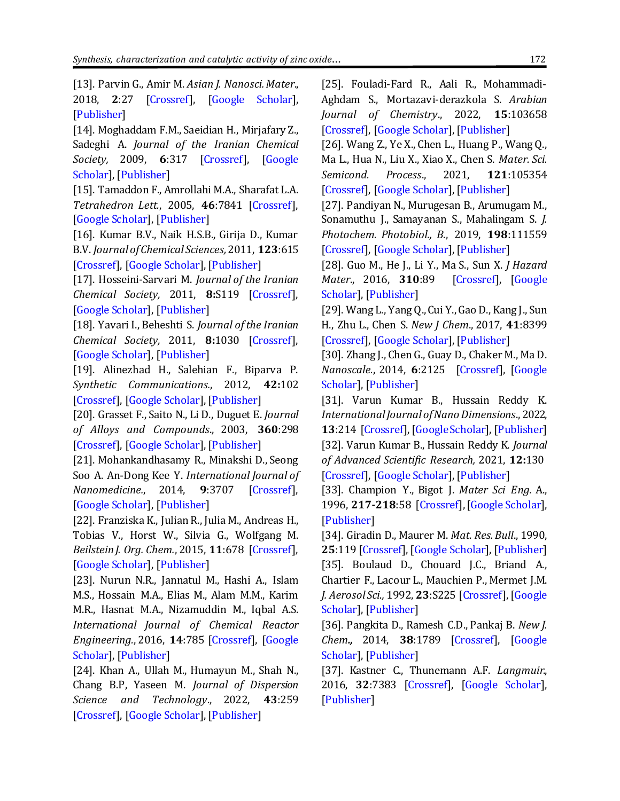<span id="page-13-0"></span>[13]. Parvin G., Amir M. *Asian J. Nanosci. Mater*., 2018, **2**:27 [\[Crossref\]](http://dx.doi.org/10.26655/ajnanomat.2019.1.2), [\[Google Scholar\]](https://scholar.google.com/scholar?hl=en&as_sdt=0%2C5&q=Facile+Preparation+of+Novel+Zinc+Oxide+Nano+Sheets+and+Study+of+Its+Optical+Properties&btnG=), [\[Publisher\]](http://www.ajnanomat.com/article_75244.html)

<span id="page-13-1"></span>[14]. Moghaddam F.M., Saeidian H., Mirjafary Z., Sadeghi A. *Journal of the Iranian Chemical Society,* 2009, **6**:317 [\[Crossref\]](https://doi.org/10.1007/BF03245840), [\[Google](https://scholar.google.com/scholar?hl=en&as_sdt=0%2C5&q=Rapid+and+efficient+one-pot+synthesis+of+1%2C4-dihydropyridine+and+polyhydroquinoline+derivatives+through+the+Hantzsch+four+component+condensation+by+zinc+oxide&btnG=)  [Scholar\]](https://scholar.google.com/scholar?hl=en&as_sdt=0%2C5&q=Rapid+and+efficient+one-pot+synthesis+of+1%2C4-dihydropyridine+and+polyhydroquinoline+derivatives+through+the+Hantzsch+four+component+condensation+by+zinc+oxide&btnG=), [\[Publisher\]](https://link.springer.com/article/10.1007/BF03245840)

[15]. Tamaddon F., Amrollahi M.A., Sharafat L.A. *Tetrahedron Lett.*, 2005, **46**:7841 [\[Crossref\]](https://doi.org/10.1016/j.tetlet.2005.09.005), [\[Google Scholar\]](https://scholar.google.com/scholar?hl=en&as_sdt=0%2C5&q=ZnO+nanoparticle+as+catalyst+for+efficient+green+one-pot+synthesis+of+coumarins+through+Knoevenagel+condensation&btnG=), [\[Publisher\]](https://www.sciencedirect.com/science/article/abs/pii/S0040403905019507?via%3Dihub)

[16]. Kumar B.V., Naik H.S.B., Girija D., Kumar B.V. *Journal of Chemical Sciences,*2011, **123**:615 [\[Crossref\]](https://doi.org/10.1007/s12039-011-0133-0), [\[Google Scholar\]](https://scholar.google.com/scholar?hl=en&as_sdt=0%2C5&q=ZnO+nanoparticle+as+catalyst+for+efficient+green+one-pot+synthesis+of+coumarins+through+Knoevenagel+condensation&btnG=), [\[Publisher\]](https://link.springer.com/article/10.1007/s12039-011-0133-0)

[17]. Hosseini-Sarvari M. *Journal of the Iranian Chemical Society,* 2011, **8:**S119 [\[Crossref\]](https://doi.org/10.1007/BF03254288), [\[Google Scholar\]](https://scholar.google.com/scholar?hl=en&as_sdt=0%2C5&q=Synthesis+of+quinolines+using+Nano-Flake+ZnO+as+a+new+catalyst+under+solvent-free+conditions&btnG=), [\[Publisher\]](https://link.springer.com/article/10.1007/BF03254288)

[18]. Yavari I., Beheshti S. *Journal of the Iranian Chemical Society,* 2011, **8:**1030 [\[Crossref\]](https://doi.org/10.1007/BF03246559), [\[Google Scholar\]](https://scholar.google.com/scholar?hl=en&as_sdt=0%2C5&q=ZnO+nanoparticles+catalyzed+efficient+one-pot+three-component+synthesis+of+2%2C3-disubstituted+quinalolin-4%281H%29-ones+under+solvent-free+conditions&btnG=), [\[Publisher\]](https://link.springer.com/article/10.1007/BF03246559)

<span id="page-13-2"></span>[19]. Alinezhad H., Salehian F., Biparva P. *Synthetic Communications.*, 2012, **42:**102 [\[Crossref\]](https://doi.org/10.1080/00397911.2010.522294), [\[Google Scholar\]](https://scholar.google.com/scholar?hl=en&as_sdt=0%2C5&q=+Synthesis+of+Benzimidazole+Derivatives+Using+Heterogeneous+ZnO+Nanoparticles&btnG=), [\[Publisher\]](https://www.tandfonline.com/doi/full/10.1080/00397911.2010.522294)

<span id="page-13-3"></span>[20]. Grasset F., Saito N., Li D., Duguet E. *Journal of Alloys and Compounds*., 2003, **360**:298 [\[Crossref\]](https://doi.org/10.1016/S0925-8388(03)00371-2), [Google [Scholar\]](https://scholar.google.com/scholar?hl=en&as_sdt=0%2C5&q=Surface+modification+of+zinc+oxide+nanoparticles+by+aminopropyltriethoxysilane&btnG=), [\[Publisher\]](https://www.sciencedirect.com/science/article/abs/pii/S0925838803003712?via%3Dihub)

<span id="page-13-4"></span>[21]. Mohankandhasamy R., Minakshi D., Seong Soo A. An-Dong Kee Y. *International Journal of Nanomedicine.*, 2014, **9**:3707 [\[Crossref\]](https://dx.doi.org/10.2147%2FIJN.S65086), [\[Google Scholar\]](https://scholar.google.com/scholar?hl=en&as_sdt=0%2C5&q=Role+of+surface+modification+in+zinc+oxide+nanoparticles+and+its+toxicity+assessment+toward+human+dermal+fibroblast+cells&btnG=), [\[Publisher\]](https://www.dovepress.com/role-of-surface-modification-in-zinc-oxide-nanoparticles-and-its-toxic-peer-reviewed-fulltext-article-IJN)

<span id="page-13-5"></span>[22]. Franziska K., Julian R., Julia M., Andreas H., Tobias V., Horst W., Silvia G., Wolfgang M. *Beilstein J. Org. Chem.*, 2015, **11**:678 [\[Crossref\]](http://dx.doi.org/10.3762%2Fbjoc.11.77), [\[Google Scholar\]](https://www.beilstein-journals.org/bjoc/articles/11/77), [\[Publisher\]](https://scholar.google.com/scholar?hl=en&as_sdt=0%2C5&q=Synthesis+of+tripodal+catecholates+and+their+immobilization+on+zinc+oxide+nanoparticles&btnG=)

<span id="page-13-6"></span>[23]. Nurun N.R., Jannatul M., Hashi A., Islam M.S., Hossain M.A., Elias M., Alam M.M., Karim M.R., Hasnat M.A., Nizamuddin M., Iqbal A.S. *International Journal of Chemical Reactor Engineering.*, 2016, **14**:785 [\[Crossref\]](https://doi.org/10.1515/ijcre-2015-0141), [\[Google](https://www.degruyter.com/document/doi/10.1515/ijcre-2015-0141/html)  [Scholar\]](https://www.degruyter.com/document/doi/10.1515/ijcre-2015-0141/html), [\[Publisher\]](https://scholar.google.com/scholar?hl=en&as_sdt=0%2C5&q=Surface+Modification+of+the+ZnO+Nanoparticles+with+%CE%B3-Aminopropyltriethoxysilane+and+Study+of+Their+Photocatalytic+Activity%2C+Optical+Properties+and+Antibacterial+Activities&btnG=)

<span id="page-13-7"></span>[24]. Khan A., Ullah M., Humayun M., Shah N., Chang B.P, Yaseen M. *Journal of Dispersion Science and Technology*., 2022, **43**:259 [\[Crossref\]](https://doi.org/10.1080/01932691.2020.1839481), [\[Google Scholar\]](https://scholar.google.com/scholar?hl=en&as_sdt=0%2C5&q=+Preparation+and+functionalization+of+zinc+oxide+nanoparticles+with+polymer+microgels+for+potential+catalytic+applications&btnG=), [\[Publisher\]](https://www.tandfonline.com/doi/full/10.1080/01932691.2020.1839481)

<span id="page-13-8"></span>[25]. Fouladi-Fard R., Aali R., Mohammadi-Aghdam S., Mortazavi-derazkola S. *Arabian Journal of Chemistry*., 2022, **15**:103658 [\[Crossref\]](https://doi.org/10.1016/j.arabjc.2021.103658), [\[Google Scholar\]](https://scholar.google.com/scholar?hl=en&as_sdt=0%2C5&q=The+surface+modification+of+spherical+ZnO+with+Ag+nanoparticles%3A+A+novel+agent%2C+biogenic+synthesis%2C+catalytic+and+antibacterial+activities&btnG=), [\[Publisher\]](https://www.sciencedirect.com/science/article/pii/S1878535221006730?via%3Dihub)

<span id="page-13-9"></span>[26]. Wang Z., Ye X., Chen L., Huang P., Wang Q., Ma L., Hua N., Liu X., Xiao X., Chen S. *Mater. Sci. Semicond. Process*., 2021, **121**:105354 [\[Crossref\]](https://doi.org/10.1016/j.mssp.2020.105354), [\[Google Scholar\]](https://scholar.google.com/scholar?hl=en&as_sdt=0%2C5&q=Silver+nanoparticles+decorated+grassy+ZnO+coating+for+photocatalytic+activity+enhancement&btnG=), [\[Publisher\]](https://www.sciencedirect.com/science/article/abs/pii/S1369800120312907?via%3Dihub)

<span id="page-13-10"></span>[27]. Pandiyan N., Murugesan B., Arumugam M., Sonamuthu J., Samayanan S., Mahalingam S. *J. Photochem. Photobiol., B.*, 2019, **198**:111559 [\[Crossref\]](https://doi.org/10.1016/j.jphotobiol.2019.111559), [\[Google Scholar\]](https://scholar.google.com/scholar?hl=en&as_sdt=0%2C5&q=Ionic+liquid+-+A+greener+templating+agent+with+Justicia+adhatoda+plant+extract+assisted+green+synthesis+of+morphologically+improved+Ag-Au%2FZnO+nanostructure+and+it%27s+antibacterial+and+anticancer+activities&btnG=), [\[Publisher\]](https://www.sciencedirect.com/science/article/abs/pii/S1011134419306839?via%3Dihub)

<span id="page-13-11"></span>[28]. Guo M., He J., Li Y., Ma S., Sun X. *J Hazard Mater*., 2016, **310**:89 [\[Crossref\]](https://doi.org/10.1016/j.jhazmat.2016.02.016), [\[Google](https://scholar.google.com/scholar?hl=en&as_sdt=0%2C5&q=One-step+synthesis+of+hollow+porous+gold+nanoparticles+with+tunable+particle+size+for+the+reduction+of+4-nitrophenol&btnG=)  [Scholar\]](https://scholar.google.com/scholar?hl=en&as_sdt=0%2C5&q=One-step+synthesis+of+hollow+porous+gold+nanoparticles+with+tunable+particle+size+for+the+reduction+of+4-nitrophenol&btnG=), [\[Publisher\]](https://www.sciencedirect.com/science/article/abs/pii/S0304389416301285?via%3Dihub)

<span id="page-13-12"></span>[29]. Wang L., Yang Q., Cui Y., Gao D., Kang J., Sun H., Zhu L., Chen S. *New J Chem*., 2017, **41**:8399 [\[Crossref\]](https://doi.org/10.1039/C7NJ01567D), [\[Google Scholar\]](https://scholar.google.com/scholar?hl=en&as_sdt=0%2C5&q=+Highly+stable+and+biocompatible+dendrimer-encapsulated+gold+nanoparticle+catalysts+for+the+reduction+of+4-nitrophenol+&btnG=), [\[Publisher\]](https://pubs.rsc.org/en/content/articlelanding/2017/NJ/C7NJ01567D)

<span id="page-13-13"></span>[30]. Zhang J., Chen G., Guay D., Chaker M., Ma D. *Nanoscale.*, 2014, **6**:2125 [\[Crossref\]](https://pubs.rsc.org/en/content/articlelanding/2014/NR/C3NR04715F), [\[Google](https://scholar.google.com/scholar?hl=en&as_sdt=0%2C5&q=+Highly+active+PtAu+alloy+nanoparticle+catalysts+for+the+reduction+of+4-nitrophenol+&btnG=)  [Scholar\]](https://scholar.google.com/scholar?hl=en&as_sdt=0%2C5&q=+Highly+active+PtAu+alloy+nanoparticle+catalysts+for+the+reduction+of+4-nitrophenol+&btnG=), [\[Publisher\]](https://pubs.rsc.org/en/content/articlelanding/2014/NR/C3NR04715F)

<span id="page-13-17"></span><span id="page-13-14"></span>[31]. Varun Kumar B., Hussain Reddy K. *International Journal of Nano Dimensions*., 2022, **13**:214 [\[Crossref\]](https://dx.doi.org/10.22034/ijnd.2022.687833), [\[Google Scholar\]](https://scholar.google.com/scholar?hl=en&as_sdt=0%2C5&q=+Green+synthesis%2C+characterization+and+antimicrobial+activity+of+nanosized+Cuprous+Oxide+fabricated+using+aqueous+extracts+of+Allium+cepa+and+Raphanus+sativus&btnG=), [\[Publisher\]](http://www.ijnd.ir/article_687833.html) [32]. Varun Kumar B., Hussain Reddy K. *Journal of Advanced Scientific Research,* 2021, **12:**130 [\[Crossref\]](https://doi.org/10.55218/JASR.s1202112413), [\[Google Scholar\]](https://scholar.google.com/scholar?hl=en&as_sdt=0%2C5&q=+SYNTHESIS%2C+CHARACTERIZATION%2C+ANTIMICROBIAL+AND+CATALYTIC+ACTIVITY+OF+LIGAND+CAPPED+COPPER+NANOPARTICLES&btnG=), [\[Publisher\]](https://sciensage.info/index.php/JASR/article/view/851)

<span id="page-13-15"></span>[33]. Champion Y., Bigot J. *Mater Sci Eng.* A., 1996, **217-218**:58 [\[Crossref\]](https://doi.org/10.1016/S0921-5093(96)10291-4), [\[Google Scholar\]](https://scholar.google.com/scholar?hl=en&as_sdt=0%2C5&q=Characterization+of+nanocrystalline+copper+powders+prepared+by+melting+in+a+cryogenic+liquid&btnG=), [\[Publisher\]](https://www.sciencedirect.com/science/article/abs/pii/S0921509396102914?via%3Dihub)

<span id="page-13-16"></span>[34]. Giradin D., Maurer M. *Mat. Res. Bull*., 1990, **25**:119 [\[Crossref\]](https://doi.org/10.1016/0025-5408(90)90171-W), [\[Google Scholar\]](https://scholar.google.com/scholar?hl=en&as_sdt=0%2C5&q=Ultrafine+metallic+powders+prepared+by+high+pressure+plasma%3A+Synthesis+and+characterization&btnG=), [\[Publisher\]](https://www.sciencedirect.com/science/article/abs/pii/002554089090171W?via%3Dihub) [35]. Boulaud D., Chouard J.C., Briand A., Chartier F., Lacour L., Mauchien P., Mermet J.M. *J. Aerosol Sci.,* 1992, **23**:S225 [\[Crossref\]](https://doi.org/10.1016/0021-8502(92)90390-H), [\[Google](https://scholar.google.com/scholar?hl=en&as_sdt=0%2C5&q=Experimental+study+of+aerosol+production+by+laser+ablation&btnG=)  [Scholar\]](https://scholar.google.com/scholar?hl=en&as_sdt=0%2C5&q=Experimental+study+of+aerosol+production+by+laser+ablation&btnG=), [\[Publisher\]](https://www.sciencedirect.com/science/article/abs/pii/002185029290390H?via%3Dihub)

<span id="page-13-18"></span>[36]. Pangkita D., Ramesh C.D., Pankaj B. *New J. Chem.,* 2014, **38**:1789 [\[Crossref\]](https://doi.org/10.1039/C3NJ01589K), [\[Google](https://scholar.google.com/scholar?hl=en&as_sdt=0%2C5&q=+In+situ+generated+copper+nanoparticle+catalyzed+reduction+of+4-nitrophenol%E2%80%A0+&btnG=)  [Scholar\]](https://scholar.google.com/scholar?hl=en&as_sdt=0%2C5&q=+In+situ+generated+copper+nanoparticle+catalyzed+reduction+of+4-nitrophenol%E2%80%A0+&btnG=), [\[Publisher\]](https://pubs.rsc.org/en/content/articlelanding/2014/NJ/c3nj01589k)

<span id="page-13-19"></span>[37]. Kastner C., Thunemann A.F. *Langmuir*., 2016, **32**:7383 [\[Crossref\]](https://doi.org/10.1021/acs.langmuir.6b01477), [\[Google Scholar\]](https://scholar.google.com/scholar?hl=en&as_sdt=0%2C5&q=Catalytic+Reduction+of+4-Nitrophenol+Using+Silver+Nanoparticles+with+Adjustable+Activity&btnG=), [\[Publisher\]](https://pubs.acs.org/doi/10.1021/acs.langmuir.6b01477)